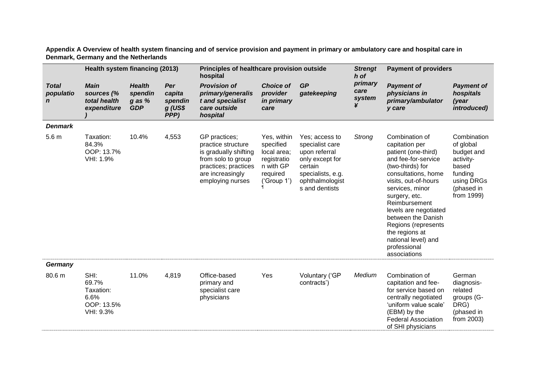**Appendix A Overview of health system financing and of service provision and payment in primary or ambulatory care and hospital care in Denmark, Germany and the Netherlands**

|                                          | Health system financing (2013)                                |                                                      |                                               | Principles of healthcare provision outside<br>hospital                                                                                             |                                                                                                |                                                                                                                                            | <b>Strengt</b><br>h of         | <b>Payment of providers</b>                                                                                                                                                                                                                                                                                                                           |                                                                                                                   |
|------------------------------------------|---------------------------------------------------------------|------------------------------------------------------|-----------------------------------------------|----------------------------------------------------------------------------------------------------------------------------------------------------|------------------------------------------------------------------------------------------------|--------------------------------------------------------------------------------------------------------------------------------------------|--------------------------------|-------------------------------------------------------------------------------------------------------------------------------------------------------------------------------------------------------------------------------------------------------------------------------------------------------------------------------------------------------|-------------------------------------------------------------------------------------------------------------------|
| <b>Total</b><br>populatio<br>$\mathbf n$ | <b>Main</b><br>sources (%<br>total health<br>expenditure      | <b>Health</b><br>spendin<br>$g$ as $%$<br><b>GDP</b> | Per<br>capita<br>spendin<br>$g$ (US\$<br>PPP) | <b>Provision of</b><br>primary/generalis<br>t and specialist<br>care outside<br>hospital                                                           | <b>Choice of</b><br>provider<br>in primary<br>care                                             | <b>GP</b><br>gatekeeping                                                                                                                   | primary<br>care<br>system<br>¥ | <b>Payment of</b><br>physicians in<br>primary/ambulator<br>y care                                                                                                                                                                                                                                                                                     | <b>Payment of</b><br>hospitals<br>(year<br>introduced)                                                            |
| <b>Denmark</b>                           |                                                               |                                                      |                                               |                                                                                                                                                    |                                                                                                |                                                                                                                                            |                                |                                                                                                                                                                                                                                                                                                                                                       |                                                                                                                   |
| 5.6 <sub>m</sub>                         | Taxation:<br>84.3%<br>OOP: 13.7%<br>VHI: 1.9%                 | 10.4%                                                | 4,553                                         | GP practices;<br>practice structure<br>is gradually shifting<br>from solo to group<br>practices; practices<br>are increasingly<br>employing nurses | Yes, within<br>specified<br>local area;<br>registratio<br>n with GP<br>required<br>('Group 1') | Yes; access to<br>specialist care<br>upon referral<br>only except for<br>certain<br>specialists, e.g.<br>ophthalmologist<br>s and dentists | Strong                         | Combination of<br>capitation per<br>patient (one-third)<br>and fee-for-service<br>(two-thirds) for<br>consultations, home<br>visits, out-of-hours<br>services, minor<br>surgery, etc.<br>Reimbursement<br>levels are negotiated<br>between the Danish<br>Regions (represents<br>the regions at<br>national level) and<br>professional<br>associations | Combination<br>of global<br>budget and<br>activity-<br>based<br>funding<br>using DRGs<br>(phased in<br>from 1999) |
| Germany                                  |                                                               |                                                      |                                               |                                                                                                                                                    |                                                                                                |                                                                                                                                            |                                |                                                                                                                                                                                                                                                                                                                                                       |                                                                                                                   |
| 80.6 m                                   | SHI:<br>69.7%<br>Taxation:<br>6.6%<br>OOP: 13.5%<br>VHI: 9.3% | 11.0%                                                | 4,819                                         | Office-based<br>primary and<br>specialist care<br>physicians                                                                                       | Yes                                                                                            | Voluntary ('GP<br>contracts')                                                                                                              | Medium                         | Combination of<br>capitation and fee-<br>for service based on<br>centrally negotiated<br>'uniform value scale'<br>(EBM) by the<br><b>Federal Association</b><br>of SHI physicians                                                                                                                                                                     | German<br>diagnosis-<br>related<br>groups (G-<br>DRG)<br>(phased in<br>from 2003)                                 |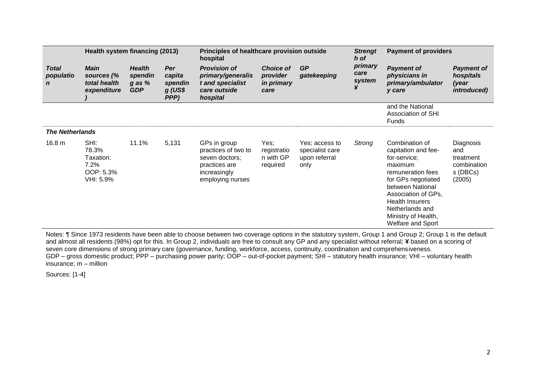| Health system financing (2013)           |                                                              |                                                      | Principles of healthcare provision outside<br>hospital |                                                                                                            |                                                           | <b>Strengt</b><br>h of                                     | <b>Payment of providers</b>    |                                                                                                                                                                                                                                                        |                                                                    |
|------------------------------------------|--------------------------------------------------------------|------------------------------------------------------|--------------------------------------------------------|------------------------------------------------------------------------------------------------------------|-----------------------------------------------------------|------------------------------------------------------------|--------------------------------|--------------------------------------------------------------------------------------------------------------------------------------------------------------------------------------------------------------------------------------------------------|--------------------------------------------------------------------|
| <b>Total</b><br>populatio<br>$\mathbf n$ | <b>Main</b><br>sources (%<br>total health<br>expenditure     | <b>Health</b><br>spendin<br>$q$ as $%$<br><b>GDP</b> | Per<br>capita<br>spendin<br>$g$ (US\$<br>PPP)          | <b>Provision of</b><br>primary/generalis<br>t and specialist<br>care outside<br>hospital                   | <b>Choice of</b><br>provider<br><i>in primary</i><br>care | <b>GP</b><br>gatekeeping                                   | primary<br>care<br>system<br>¥ | <b>Payment of</b><br>physicians in<br>primary/ambulator<br>y care                                                                                                                                                                                      | <b>Payment of</b><br>hospitals<br>(year<br>introduced)             |
|                                          |                                                              |                                                      |                                                        |                                                                                                            |                                                           |                                                            |                                | and the National<br>Association of SHI<br><b>Funds</b>                                                                                                                                                                                                 |                                                                    |
| <b>The Netherlands</b>                   |                                                              |                                                      |                                                        |                                                                                                            |                                                           |                                                            |                                |                                                                                                                                                                                                                                                        |                                                                    |
| 16.8 <sub>m</sub>                        | SHI:<br>78.3%<br>Taxation:<br>7.2%<br>OOP: 5.3%<br>VHI: 5.9% | 11.1%                                                | 5,131                                                  | GPs in group<br>practices of two to<br>seven doctors;<br>practices are<br>increasingly<br>employing nurses | Yes;<br>registratio<br>n with GP<br>required              | Yes; access to<br>specialist care<br>upon referral<br>only | Strong                         | Combination of<br>capitation and fee-<br>for-service;<br>maximum<br>remuneration fees<br>for GPs negotiated<br>between National<br>Association of GPs,<br><b>Health Insurers</b><br>Netherlands and<br>Ministry of Health,<br><b>Welfare and Sport</b> | Diagnosis<br>and<br>treatment<br>combination<br>s (DBCs)<br>(2005) |

Notes: ¶ Since 1973 residents have been able to choose between two coverage options in the statutory system, Group 1 and Group 2; Group 1 is the default and almost all residents (98%) opt for this. In Group 2, individuals are free to consult any GP and any specialist without referral; **¥** based on a scoring of seven core dimensions of strong primary care (governance, funding, workforce, access, continuity, coordination and comprehensiveness. GDP – gross domestic product; PPP – purchasing power parity; OOP – out-of-pocket payment; SHI – statutory health insurance; VHI – voluntary health insurance; m – million

Sources: [1-4]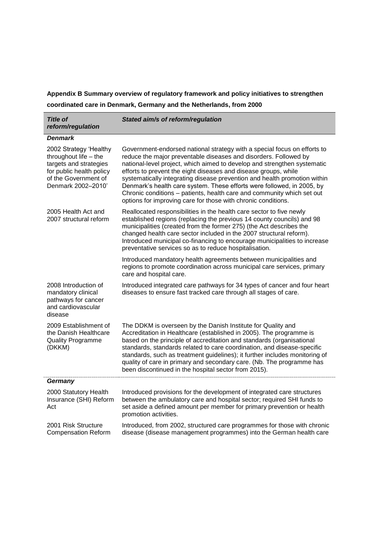**Appendix B Summary overview of regulatory framework and policy initiatives to strengthen coordinated care in Denmark, Germany and the Netherlands, from 2000**

| <b>Title of</b><br>reform/regulation                                                                                                                | Stated aim/s of reform/regulation                                                                                                                                                                                                                                                                                                                                                                                                                                                                                                                                                             |  |  |  |  |  |
|-----------------------------------------------------------------------------------------------------------------------------------------------------|-----------------------------------------------------------------------------------------------------------------------------------------------------------------------------------------------------------------------------------------------------------------------------------------------------------------------------------------------------------------------------------------------------------------------------------------------------------------------------------------------------------------------------------------------------------------------------------------------|--|--|--|--|--|
| <b>Denmark</b>                                                                                                                                      |                                                                                                                                                                                                                                                                                                                                                                                                                                                                                                                                                                                               |  |  |  |  |  |
| 2002 Strategy 'Healthy<br>throughout life - the<br>targets and strategies<br>for public health policy<br>of the Government of<br>Denmark 2002-2010' | Government-endorsed national strategy with a special focus on efforts to<br>reduce the major preventable diseases and disorders. Followed by<br>national-level project, which aimed to develop and strengthen systematic<br>efforts to prevent the eight diseases and disease groups, while<br>systematically integrating disease prevention and health promotion within<br>Denmark's health care system. These efforts were followed, in 2005, by<br>Chronic conditions - patients, health care and community which set out<br>options for improving care for those with chronic conditions. |  |  |  |  |  |
| 2005 Health Act and<br>2007 structural reform                                                                                                       | Reallocated responsibilities in the health care sector to five newly<br>established regions (replacing the previous 14 county councils) and 98<br>municipalities (created from the former 275) (the Act describes the<br>changed health care sector included in the 2007 structural reform).<br>Introduced municipal co-financing to encourage municipalities to increase<br>preventative services so as to reduce hospitalisation.                                                                                                                                                           |  |  |  |  |  |
|                                                                                                                                                     | Introduced mandatory health agreements between municipalities and<br>regions to promote coordination across municipal care services, primary<br>care and hospital care.                                                                                                                                                                                                                                                                                                                                                                                                                       |  |  |  |  |  |
| 2008 Introduction of<br>mandatory clinical<br>pathways for cancer<br>and cardiovascular<br>disease                                                  | Introduced integrated care pathways for 34 types of cancer and four heart<br>diseases to ensure fast tracked care through all stages of care.                                                                                                                                                                                                                                                                                                                                                                                                                                                 |  |  |  |  |  |
| 2009 Establishment of<br>the Danish Healthcare<br><b>Quality Programme</b><br>(DKKM)                                                                | The DDKM is overseen by the Danish Institute for Quality and<br>Accreditation in Healthcare (established in 2005). The programme is<br>based on the principle of accreditation and standards (organisational<br>standards, standards related to care coordination, and disease-specific<br>standards, such as treatment guidelines); it further includes monitoring of<br>quality of care in primary and secondary care. (Nb. The programme has<br>been discontinued in the hospital sector from 2015).                                                                                       |  |  |  |  |  |
| Germany                                                                                                                                             |                                                                                                                                                                                                                                                                                                                                                                                                                                                                                                                                                                                               |  |  |  |  |  |
| 2000 Statutory Health<br>Insurance (SHI) Reform<br>Act                                                                                              | Introduced provisions for the development of integrated care structures<br>between the ambulatory care and hospital sector; required SHI funds to<br>set aside a defined amount per member for primary prevention or health<br>promotion activities.                                                                                                                                                                                                                                                                                                                                          |  |  |  |  |  |
| 2001 Risk Structure<br><b>Compensation Reform</b>                                                                                                   | Introduced, from 2002, structured care programmes for those with chronic<br>disease (disease management programmes) into the German health care                                                                                                                                                                                                                                                                                                                                                                                                                                               |  |  |  |  |  |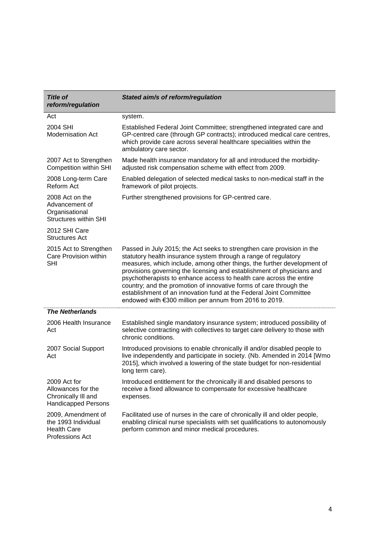| <b>Title of</b><br>reform/regulation                                                    | Stated aim/s of reform/regulation                                                                                                                                                                                                                                                                                                                                                                                                                                                                                                                                           |  |  |  |  |
|-----------------------------------------------------------------------------------------|-----------------------------------------------------------------------------------------------------------------------------------------------------------------------------------------------------------------------------------------------------------------------------------------------------------------------------------------------------------------------------------------------------------------------------------------------------------------------------------------------------------------------------------------------------------------------------|--|--|--|--|
| Act                                                                                     | system.                                                                                                                                                                                                                                                                                                                                                                                                                                                                                                                                                                     |  |  |  |  |
| 2004 SHI<br><b>Modernisation Act</b>                                                    | Established Federal Joint Committee; strengthened integrated care and<br>GP-centred care (through GP contracts); introduced medical care centres,<br>which provide care across several healthcare specialities within the<br>ambulatory care sector.                                                                                                                                                                                                                                                                                                                        |  |  |  |  |
| 2007 Act to Strengthen<br><b>Competition within SHI</b>                                 | Made health insurance mandatory for all and introduced the morbidity-<br>adjusted risk compensation scheme with effect from 2009.                                                                                                                                                                                                                                                                                                                                                                                                                                           |  |  |  |  |
| 2008 Long-term Care<br>Reform Act                                                       | Enabled delegation of selected medical tasks to non-medical staff in the<br>framework of pilot projects.                                                                                                                                                                                                                                                                                                                                                                                                                                                                    |  |  |  |  |
| 2008 Act on the<br>Advancement of<br>Organisational<br><b>Structures within SHI</b>     | Further strengthened provisions for GP-centred care.                                                                                                                                                                                                                                                                                                                                                                                                                                                                                                                        |  |  |  |  |
| 2012 SHI Care<br><b>Structures Act</b>                                                  |                                                                                                                                                                                                                                                                                                                                                                                                                                                                                                                                                                             |  |  |  |  |
| 2015 Act to Strengthen<br>Care Provision within<br><b>SHI</b>                           | Passed in July 2015; the Act seeks to strengthen care provision in the<br>statutory health insurance system through a range of regulatory<br>measures, which include, among other things, the further development of<br>provisions governing the licensing and establishment of physicians and<br>psychotherapists to enhance access to health care across the entire<br>country; and the promotion of innovative forms of care through the<br>establishment of an innovation fund at the Federal Joint Committee<br>endowed with €300 million per annum from 2016 to 2019. |  |  |  |  |
| <b>The Netherlands</b>                                                                  |                                                                                                                                                                                                                                                                                                                                                                                                                                                                                                                                                                             |  |  |  |  |
| 2006 Health Insurance<br>Act                                                            | Established single mandatory insurance system; introduced possibility of<br>selective contracting with collectives to target care delivery to those with<br>chronic conditions.                                                                                                                                                                                                                                                                                                                                                                                             |  |  |  |  |
| 2007 Social Support<br>Act                                                              | Introduced provisions to enable chronically ill and/or disabled people to<br>live independently and participate in society. (Nb. Amended in 2014 [Wmo<br>2015], which involved a lowering of the state budget for non-residential<br>long term care).                                                                                                                                                                                                                                                                                                                       |  |  |  |  |
| 2009 Act for<br>Allowances for the<br>Chronically III and<br><b>Handicapped Persons</b> | Introduced entitlement for the chronically ill and disabled persons to<br>receive a fixed allowance to compensate for excessive healthcare<br>expenses.                                                                                                                                                                                                                                                                                                                                                                                                                     |  |  |  |  |
| 2009, Amendment of<br>the 1993 Individual<br><b>Health Care</b><br>Professions Act      | Facilitated use of nurses in the care of chronically ill and older people,<br>enabling clinical nurse specialists with set qualifications to autonomously<br>perform common and minor medical procedures.                                                                                                                                                                                                                                                                                                                                                                   |  |  |  |  |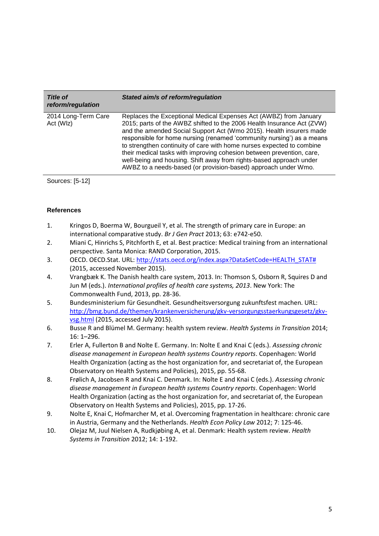| <b>Title of</b><br>reform/regulation | Stated aim/s of reform/regulation                                                                                                                                                                                                                                                                                                                                                                                                                                                                                                                                                      |
|--------------------------------------|----------------------------------------------------------------------------------------------------------------------------------------------------------------------------------------------------------------------------------------------------------------------------------------------------------------------------------------------------------------------------------------------------------------------------------------------------------------------------------------------------------------------------------------------------------------------------------------|
| 2014 Long-Term Care<br>Act (WIz)     | Replaces the Exceptional Medical Expenses Act (AWBZ) from January<br>2015; parts of the AWBZ shifted to the 2006 Health Insurance Act (ZVW)<br>and the amended Social Support Act (Wmo 2015). Health insurers made<br>responsible for home nursing (renamed 'community nursing') as a means<br>to strengthen continuity of care with home nurses expected to combine<br>their medical tasks with improving cohesion between prevention, care,<br>well-being and housing. Shift away from rights-based approach under<br>AWBZ to a needs-based (or provision-based) approach under Wmo. |

Sources: [5-12]

## **References**

- 1. Kringos D, Boerma W, Bourgueil Y, et al. The strength of primary care in Europe: an international comparative study. *Br J Gen Pract* 2013; 63: e742-e50.
- 2. Miani C, Hinrichs S, Pitchforth E, et al. Best practice: Medical training from an international perspective. Santa Monica: RAND Corporation, 2015.
- 3. OECD. OECD.Stat. URL: [http://stats.oecd.org/index.aspx?DataSetCode=HEALTH\\_STAT#](http://stats.oecd.org/index.aspx?DataSetCode=HEALTH_STAT) (2015, accessed November 2015).
- 4. Vrangbæk K. The Danish health care system, 2013. In: Thomson S, Osborn R, Squires D and Jun M (eds.). *International profiles of health care systems, 2013*. New York: The Commonwealth Fund, 2013, pp. 28-36.
- 5. Bundesministerium für Gesundheit. Gesundheitsversorgung zukunftsfest machen. URL: [http://bmg.bund.de/themen/krankenversicherung/gkv-versorgungsstaerkungsgesetz/gkv](http://bmg.bund.de/themen/krankenversicherung/gkv-versorgungsstaerkungsgesetz/gkv-vsg.html)[vsg.html](http://bmg.bund.de/themen/krankenversicherung/gkv-versorgungsstaerkungsgesetz/gkv-vsg.html) (2015, accessed July 2015).
- 6. Busse R and Blümel M. Germany: health system review. *Health Systems in Transition* 2014; 16: 1–296.
- 7. Erler A, Fullerton B and Nolte E. Germany. In: Nolte E and Knai C (eds.). *Assessing chronic disease management in European health systems Country reports*. Copenhagen: World Health Organization (acting as the host organization for, and secretariat of, the European Observatory on Health Systems and Policies), 2015, pp. 55-68.
- 8. Frølich A, Jacobsen R and Knai C. Denmark. In: Nolte E and Knai C (eds.). *Assessing chronic disease management in European health systems Country reports*. Copenhagen: World Health Organization (acting as the host organization for, and secretariat of, the European Observatory on Health Systems and Policies), 2015, pp. 17-26.
- 9. Nolte E, Knai C, Hofmarcher M, et al. Overcoming fragmentation in healthcare: chronic care in Austria, Germany and the Netherlands. *Health Econ Policy Law* 2012; 7: 125-46.
- 10. Olejaz M, Juul Nielsen A, Rudkjøbing A, et al. Denmark: Health system review. *Health Systems in Transition* 2012; 14: 1-192.